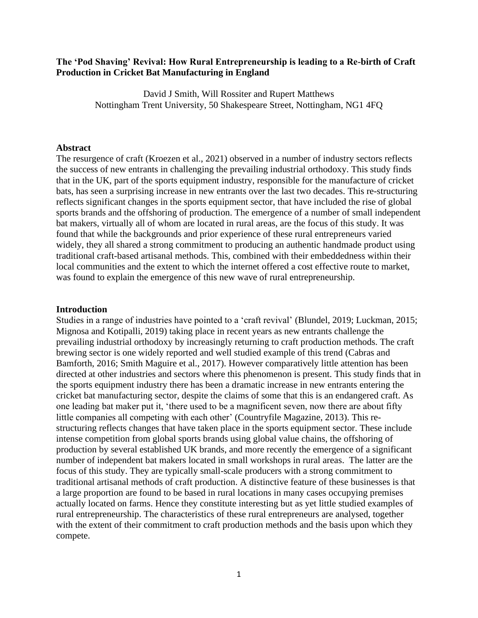# **The 'Pod Shaving' Revival: How Rural Entrepreneurship is leading to a Re-birth of Craft Production in Cricket Bat Manufacturing in England**

David J Smith, Will Rossiter and Rupert Matthews Nottingham Trent University, 50 Shakespeare Street, Nottingham, NG1 4FQ

#### **Abstract**

The resurgence of craft (Kroezen et al., 2021) observed in a number of industry sectors reflects the success of new entrants in challenging the prevailing industrial orthodoxy. This study finds that in the UK, part of the sports equipment industry, responsible for the manufacture of cricket bats, has seen a surprising increase in new entrants over the last two decades. This re-structuring reflects significant changes in the sports equipment sector, that have included the rise of global sports brands and the offshoring of production. The emergence of a number of small independent bat makers, virtually all of whom are located in rural areas, are the focus of this study. It was found that while the backgrounds and prior experience of these rural entrepreneurs varied widely, they all shared a strong commitment to producing an authentic handmade product using traditional craft-based artisanal methods. This, combined with their embeddedness within their local communities and the extent to which the internet offered a cost effective route to market, was found to explain the emergence of this new wave of rural entrepreneurship.

#### **Introduction**

Studies in a range of industries have pointed to a 'craft revival' (Blundel, 2019; Luckman, 2015; Mignosa and Kotipalli, 2019) taking place in recent years as new entrants challenge the prevailing industrial orthodoxy by increasingly returning to craft production methods. The craft brewing sector is one widely reported and well studied example of this trend (Cabras and Bamforth, 2016; Smith Maguire et al., 2017). However comparatively little attention has been directed at other industries and sectors where this phenomenon is present. This study finds that in the sports equipment industry there has been a dramatic increase in new entrants entering the cricket bat manufacturing sector, despite the claims of some that this is an endangered craft. As one leading bat maker put it, 'there used to be a magnificent seven, now there are about fifty little companies all competing with each other' (Countryfile Magazine, 2013). This restructuring reflects changes that have taken place in the sports equipment sector. These include intense competition from global sports brands using global value chains, the offshoring of production by several established UK brands, and more recently the emergence of a significant number of independent bat makers located in small workshops in rural areas. The latter are the focus of this study. They are typically small-scale producers with a strong commitment to traditional artisanal methods of craft production. A distinctive feature of these businesses is that a large proportion are found to be based in rural locations in many cases occupying premises actually located on farms. Hence they constitute interesting but as yet little studied examples of rural entrepreneurship. The characteristics of these rural entrepreneurs are analysed, together with the extent of their commitment to craft production methods and the basis upon which they compete.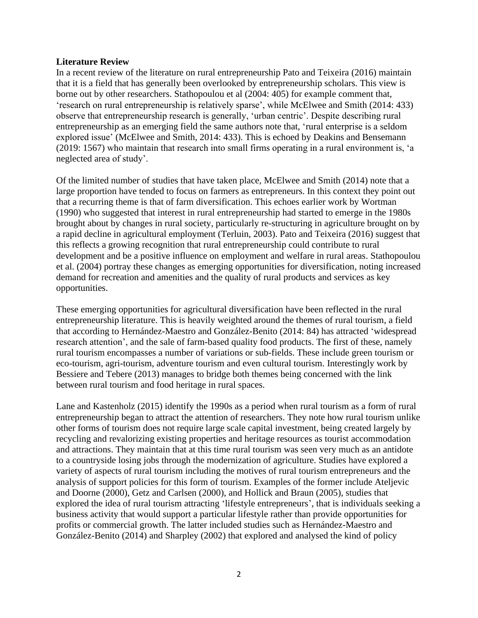# **Literature Review**

In a recent review of the literature on rural entrepreneurship Pato and Teixeira (2016) maintain that it is a field that has generally been overlooked by entrepreneurship scholars. This view is borne out by other researchers. Stathopoulou et al (2004: 405) for example comment that, 'research on rural entrepreneurship is relatively sparse', while McElwee and Smith (2014: 433) observe that entrepreneurship research is generally, 'urban centric'. Despite describing rural entrepreneurship as an emerging field the same authors note that, 'rural enterprise is a seldom explored issue' (McElwee and Smith, 2014: 433). This is echoed by Deakins and Bensemann (2019: 1567) who maintain that research into small firms operating in a rural environment is, 'a neglected area of study'.

Of the limited number of studies that have taken place, McElwee and Smith (2014) note that a large proportion have tended to focus on farmers as entrepreneurs. In this context they point out that a recurring theme is that of farm diversification. This echoes earlier work by Wortman (1990) who suggested that interest in rural entrepreneurship had started to emerge in the 1980s brought about by changes in rural society, particularly re-structuring in agriculture brought on by a rapid decline in agricultural employment (Terluin, 2003). Pato and Teixeira (2016) suggest that this reflects a growing recognition that rural entrepreneurship could contribute to rural development and be a positive influence on employment and welfare in rural areas. Stathopoulou et al. (2004) portray these changes as emerging opportunities for diversification, noting increased demand for recreation and amenities and the quality of rural products and services as key opportunities.

These emerging opportunities for agricultural diversification have been reflected in the rural entrepreneurship literature. This is heavily weighted around the themes of rural tourism, a field that according to Hernández-Maestro and González-Benito (2014: 84) has attracted 'widespread research attention', and the sale of farm-based quality food products. The first of these, namely rural tourism encompasses a number of variations or sub-fields. These include green tourism or eco-tourism, agri-tourism, adventure tourism and even cultural tourism. Interestingly work by Bessiere and Tebere (2013) manages to bridge both themes being concerned with the link between rural tourism and food heritage in rural spaces.

Lane and Kastenholz (2015) identify the 1990s as a period when rural tourism as a form of rural entrepreneurship began to attract the attention of researchers. They note how rural tourism unlike other forms of tourism does not require large scale capital investment, being created largely by recycling and revalorizing existing properties and heritage resources as tourist accommodation and attractions. They maintain that at this time rural tourism was seen very much as an antidote to a countryside losing jobs through the modernization of agriculture. Studies have explored a variety of aspects of rural tourism including the motives of rural tourism entrepreneurs and the analysis of support policies for this form of tourism. Examples of the former include Ateljevic and Doorne (2000), Getz and Carlsen (2000), and Hollick and Braun (2005), studies that explored the idea of rural tourism attracting 'lifestyle entrepreneurs', that is individuals seeking a business activity that would support a particular lifestyle rather than provide opportunities for profits or commercial growth. The latter included studies such as Hernández-Maestro and González-Benito (2014) and Sharpley (2002) that explored and analysed the kind of policy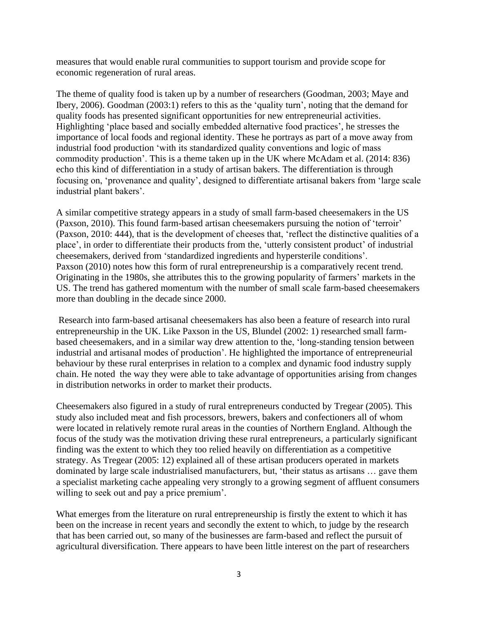measures that would enable rural communities to support tourism and provide scope for economic regeneration of rural areas.

The theme of quality food is taken up by a number of researchers (Goodman, 2003; Maye and Ibery, 2006). Goodman (2003:1) refers to this as the 'quality turn', noting that the demand for quality foods has presented significant opportunities for new entrepreneurial activities. Highlighting 'place based and socially embedded alternative food practices', he stresses the importance of local foods and regional identity. These he portrays as part of a move away from industrial food production 'with its standardized quality conventions and logic of mass commodity production'. This is a theme taken up in the UK where McAdam et al. (2014: 836) echo this kind of differentiation in a study of artisan bakers. The differentiation is through focusing on, 'provenance and quality', designed to differentiate artisanal bakers from 'large scale industrial plant bakers'.

A similar competitive strategy appears in a study of small farm-based cheesemakers in the US (Paxson, 2010). This found farm-based artisan cheesemakers pursuing the notion of 'terroir' (Paxson, 2010: 444), that is the development of cheeses that, 'reflect the distinctive qualities of a place', in order to differentiate their products from the, 'utterly consistent product' of industrial cheesemakers, derived from 'standardized ingredients and hypersterile conditions'. Paxson (2010) notes how this form of rural entrepreneurship is a comparatively recent trend. Originating in the 1980s, she attributes this to the growing popularity of farmers' markets in the US. The trend has gathered momentum with the number of small scale farm-based cheesemakers more than doubling in the decade since 2000.

Research into farm-based artisanal cheesemakers has also been a feature of research into rural entrepreneurship in the UK. Like Paxson in the US, Blundel (2002: 1) researched small farmbased cheesemakers, and in a similar way drew attention to the, 'long-standing tension between industrial and artisanal modes of production'. He highlighted the importance of entrepreneurial behaviour by these rural enterprises in relation to a complex and dynamic food industry supply chain. He noted the way they were able to take advantage of opportunities arising from changes in distribution networks in order to market their products.

Cheesemakers also figured in a study of rural entrepreneurs conducted by Tregear (2005). This study also included meat and fish processors, brewers, bakers and confectioners all of whom were located in relatively remote rural areas in the counties of Northern England. Although the focus of the study was the motivation driving these rural entrepreneurs, a particularly significant finding was the extent to which they too relied heavily on differentiation as a competitive strategy. As Tregear (2005: 12) explained all of these artisan producers operated in markets dominated by large scale industrialised manufacturers, but, 'their status as artisans … gave them a specialist marketing cache appealing very strongly to a growing segment of affluent consumers willing to seek out and pay a price premium'.

What emerges from the literature on rural entrepreneurship is firstly the extent to which it has been on the increase in recent years and secondly the extent to which, to judge by the research that has been carried out, so many of the businesses are farm-based and reflect the pursuit of agricultural diversification. There appears to have been little interest on the part of researchers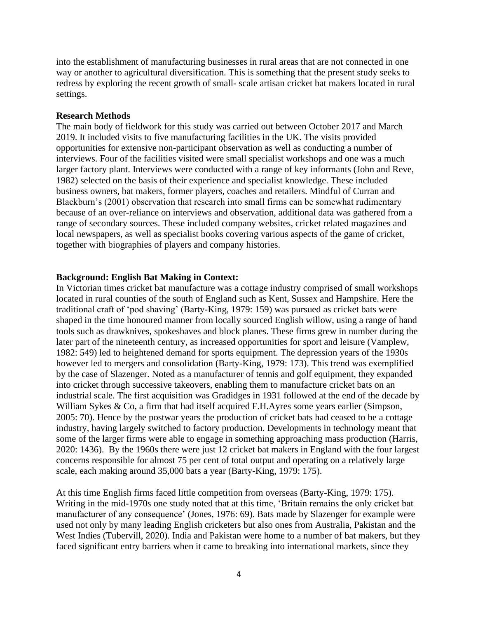into the establishment of manufacturing businesses in rural areas that are not connected in one way or another to agricultural diversification. This is something that the present study seeks to redress by exploring the recent growth of small- scale artisan cricket bat makers located in rural settings.

### **Research Methods**

The main body of fieldwork for this study was carried out between October 2017 and March 2019. It included visits to five manufacturing facilities in the UK. The visits provided opportunities for extensive non-participant observation as well as conducting a number of interviews. Four of the facilities visited were small specialist workshops and one was a much larger factory plant. Interviews were conducted with a range of key informants (John and Reve, 1982) selected on the basis of their experience and specialist knowledge. These included business owners, bat makers, former players, coaches and retailers. Mindful of Curran and Blackburn's (2001) observation that research into small firms can be somewhat rudimentary because of an over-reliance on interviews and observation, additional data was gathered from a range of secondary sources. These included company websites, cricket related magazines and local newspapers, as well as specialist books covering various aspects of the game of cricket, together with biographies of players and company histories.

#### **Background: English Bat Making in Context:**

In Victorian times cricket bat manufacture was a cottage industry comprised of small workshops located in rural counties of the south of England such as Kent, Sussex and Hampshire. Here the traditional craft of 'pod shaving' (Barty-King, 1979: 159) was pursued as cricket bats were shaped in the time honoured manner from locally sourced English willow, using a range of hand tools such as drawknives, spokeshaves and block planes. These firms grew in number during the later part of the nineteenth century, as increased opportunities for sport and leisure (Vamplew, 1982: 549) led to heightened demand for sports equipment. The depression years of the 1930s however led to mergers and consolidation (Barty-King, 1979: 173). This trend was exemplified by the case of Slazenger. Noted as a manufacturer of tennis and golf equipment, they expanded into cricket through successive takeovers, enabling them to manufacture cricket bats on an industrial scale. The first acquisition was Gradidges in 1931 followed at the end of the decade by William Sykes & Co, a firm that had itself acquired F.H.Ayres some years earlier (Simpson, 2005: 70). Hence by the postwar years the production of cricket bats had ceased to be a cottage industry, having largely switched to factory production. Developments in technology meant that some of the larger firms were able to engage in something approaching mass production (Harris, 2020: 1436). By the 1960s there were just 12 cricket bat makers in England with the four largest concerns responsible for almost 75 per cent of total output and operating on a relatively large scale, each making around 35,000 bats a year (Barty-King, 1979: 175).

At this time English firms faced little competition from overseas (Barty-King, 1979: 175). Writing in the mid-1970s one study noted that at this time, 'Britain remains the only cricket bat manufacturer of any consequence' (Jones, 1976: 69). Bats made by Slazenger for example were used not only by many leading English cricketers but also ones from Australia, Pakistan and the West Indies (Tubervill, 2020). India and Pakistan were home to a number of bat makers, but they faced significant entry barriers when it came to breaking into international markets, since they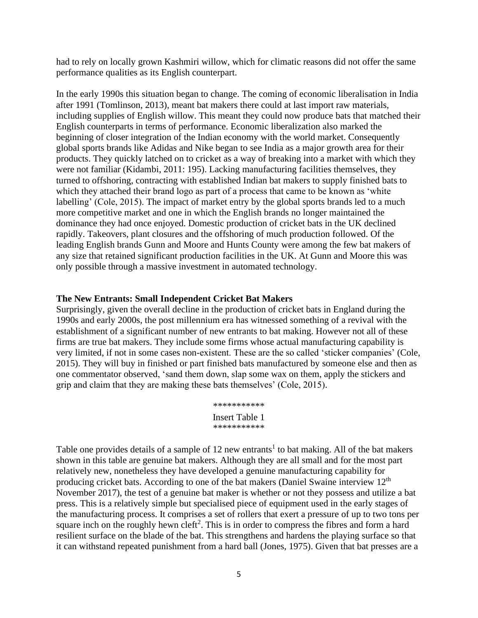had to rely on locally grown Kashmiri willow, which for climatic reasons did not offer the same performance qualities as its English counterpart.

In the early 1990s this situation began to change. The coming of economic liberalisation in India after 1991 (Tomlinson, 2013), meant bat makers there could at last import raw materials, including supplies of English willow. This meant they could now produce bats that matched their English counterparts in terms of performance. Economic liberalization also marked the beginning of closer integration of the Indian economy with the world market. Consequently global sports brands like Adidas and Nike began to see India as a major growth area for their products. They quickly latched on to cricket as a way of breaking into a market with which they were not familiar (Kidambi, 2011: 195). Lacking manufacturing facilities themselves, they turned to offshoring, contracting with established Indian bat makers to supply finished bats to which they attached their brand logo as part of a process that came to be known as 'white labelling' (Cole, 2015). The impact of market entry by the global sports brands led to a much more competitive market and one in which the English brands no longer maintained the dominance they had once enjoyed. Domestic production of cricket bats in the UK declined rapidly. Takeovers, plant closures and the offshoring of much production followed. Of the leading English brands Gunn and Moore and Hunts County were among the few bat makers of any size that retained significant production facilities in the UK. At Gunn and Moore this was only possible through a massive investment in automated technology.

### **The New Entrants: Small Independent Cricket Bat Makers**

Surprisingly, given the overall decline in the production of cricket bats in England during the 1990s and early 2000s, the post millennium era has witnessed something of a revival with the establishment of a significant number of new entrants to bat making. However not all of these firms are true bat makers. They include some firms whose actual manufacturing capability is very limited, if not in some cases non-existent. These are the so called 'sticker companies' (Cole, 2015). They will buy in finished or part finished bats manufactured by someone else and then as one commentator observed, 'sand them down, slap some wax on them, apply the stickers and grip and claim that they are making these bats themselves' (Cole, 2015).

> \*\*\*\*\*\*\*\*\*\*\* Insert Table 1 \*\*\*\*\*\*\*\*\*\*\*

Table one provides details of a sample of  $12$  new entrants<sup>1</sup> to bat making. All of the bat makers shown in this table are genuine bat makers. Although they are all small and for the most part relatively new, nonetheless they have developed a genuine manufacturing capability for producing cricket bats. According to one of the bat makers (Daniel Swaine interview 12<sup>th</sup> November 2017), the test of a genuine bat maker is whether or not they possess and utilize a bat press. This is a relatively simple but specialised piece of equipment used in the early stages of the manufacturing process. It comprises a set of rollers that exert a pressure of up to two tons per square inch on the roughly hewn cleft<sup>2</sup>. This is in order to compress the fibres and form a hard resilient surface on the blade of the bat. This strengthens and hardens the playing surface so that it can withstand repeated punishment from a hard ball (Jones, 1975). Given that bat presses are a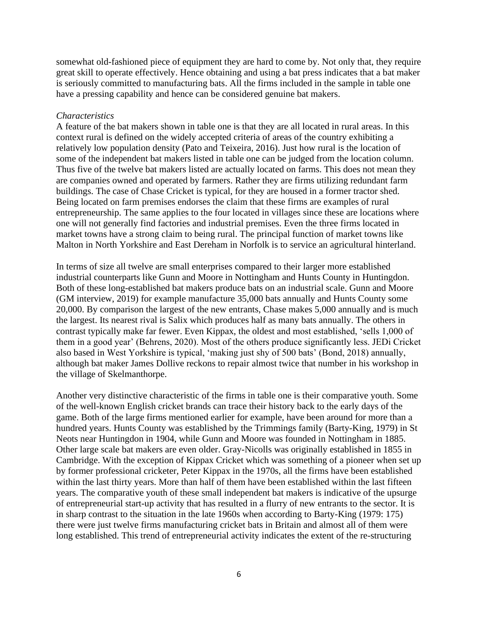somewhat old-fashioned piece of equipment they are hard to come by. Not only that, they require great skill to operate effectively. Hence obtaining and using a bat press indicates that a bat maker is seriously committed to manufacturing bats. All the firms included in the sample in table one have a pressing capability and hence can be considered genuine bat makers.

### *Characteristics*

A feature of the bat makers shown in table one is that they are all located in rural areas. In this context rural is defined on the widely accepted criteria of areas of the country exhibiting a relatively low population density (Pato and Teixeira, 2016). Just how rural is the location of some of the independent bat makers listed in table one can be judged from the location column. Thus five of the twelve bat makers listed are actually located on farms. This does not mean they are companies owned and operated by farmers. Rather they are firms utilizing redundant farm buildings. The case of Chase Cricket is typical, for they are housed in a former tractor shed. Being located on farm premises endorses the claim that these firms are examples of rural entrepreneurship. The same applies to the four located in villages since these are locations where one will not generally find factories and industrial premises. Even the three firms located in market towns have a strong claim to being rural. The principal function of market towns like Malton in North Yorkshire and East Dereham in Norfolk is to service an agricultural hinterland.

In terms of size all twelve are small enterprises compared to their larger more established industrial counterparts like Gunn and Moore in Nottingham and Hunts County in Huntingdon. Both of these long-established bat makers produce bats on an industrial scale. Gunn and Moore (GM interview, 2019) for example manufacture 35,000 bats annually and Hunts County some 20,000. By comparison the largest of the new entrants, Chase makes 5,000 annually and is much the largest. Its nearest rival is Salix which produces half as many bats annually. The others in contrast typically make far fewer. Even Kippax, the oldest and most established, 'sells 1,000 of them in a good year' (Behrens, 2020). Most of the others produce significantly less. JEDi Cricket also based in West Yorkshire is typical, 'making just shy of 500 bats' (Bond, 2018) annually, although bat maker James Dollive reckons to repair almost twice that number in his workshop in the village of Skelmanthorpe.

Another very distinctive characteristic of the firms in table one is their comparative youth. Some of the well-known English cricket brands can trace their history back to the early days of the game. Both of the large firms mentioned earlier for example, have been around for more than a hundred years. Hunts County was established by the Trimmings family (Barty-King, 1979) in St Neots near Huntingdon in 1904, while Gunn and Moore was founded in Nottingham in 1885. Other large scale bat makers are even older. Gray-Nicolls was originally established in 1855 in Cambridge. With the exception of Kippax Cricket which was something of a pioneer when set up by former professional cricketer, Peter Kippax in the 1970s, all the firms have been established within the last thirty years. More than half of them have been established within the last fifteen years. The comparative youth of these small independent bat makers is indicative of the upsurge of entrepreneurial start-up activity that has resulted in a flurry of new entrants to the sector. It is in sharp contrast to the situation in the late 1960s when according to Barty-King (1979: 175) there were just twelve firms manufacturing cricket bats in Britain and almost all of them were long established. This trend of entrepreneurial activity indicates the extent of the re-structuring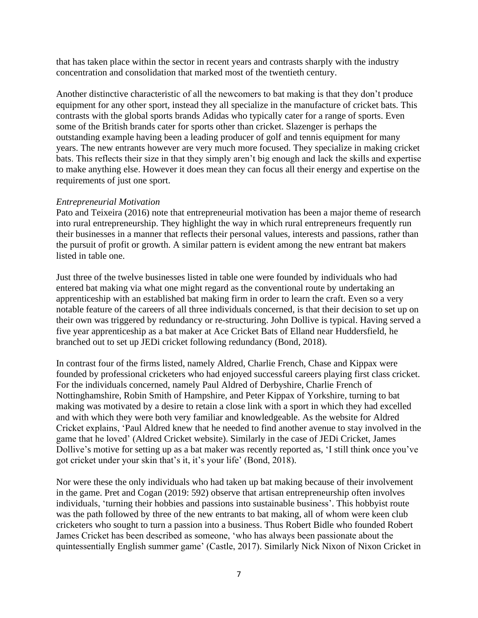that has taken place within the sector in recent years and contrasts sharply with the industry concentration and consolidation that marked most of the twentieth century.

Another distinctive characteristic of all the newcomers to bat making is that they don't produce equipment for any other sport, instead they all specialize in the manufacture of cricket bats. This contrasts with the global sports brands Adidas who typically cater for a range of sports. Even some of the British brands cater for sports other than cricket. Slazenger is perhaps the outstanding example having been a leading producer of golf and tennis equipment for many years. The new entrants however are very much more focused. They specialize in making cricket bats. This reflects their size in that they simply aren't big enough and lack the skills and expertise to make anything else. However it does mean they can focus all their energy and expertise on the requirements of just one sport.

# *Entrepreneurial Motivation*

Pato and Teixeira (2016) note that entrepreneurial motivation has been a major theme of research into rural entrepreneurship. They highlight the way in which rural entrepreneurs frequently run their businesses in a manner that reflects their personal values, interests and passions, rather than the pursuit of profit or growth. A similar pattern is evident among the new entrant bat makers listed in table one.

Just three of the twelve businesses listed in table one were founded by individuals who had entered bat making via what one might regard as the conventional route by undertaking an apprenticeship with an established bat making firm in order to learn the craft. Even so a very notable feature of the careers of all three individuals concerned, is that their decision to set up on their own was triggered by redundancy or re-structuring. John Dollive is typical. Having served a five year apprenticeship as a bat maker at Ace Cricket Bats of Elland near Huddersfield, he branched out to set up JEDi cricket following redundancy (Bond, 2018).

In contrast four of the firms listed, namely Aldred, Charlie French, Chase and Kippax were founded by professional cricketers who had enjoyed successful careers playing first class cricket. For the individuals concerned, namely Paul Aldred of Derbyshire, Charlie French of Nottinghamshire, Robin Smith of Hampshire, and Peter Kippax of Yorkshire, turning to bat making was motivated by a desire to retain a close link with a sport in which they had excelled and with which they were both very familiar and knowledgeable. As the website for Aldred Cricket explains, 'Paul Aldred knew that he needed to find another avenue to stay involved in the game that he loved' (Aldred Cricket website). Similarly in the case of JEDi Cricket, James Dollive's motive for setting up as a bat maker was recently reported as, 'I still think once you've got cricket under your skin that's it, it's your life' (Bond, 2018).

Nor were these the only individuals who had taken up bat making because of their involvement in the game. Pret and Cogan (2019: 592) observe that artisan entrepreneurship often involves individuals, 'turning their hobbies and passions into sustainable business'. This hobbyist route was the path followed by three of the new entrants to bat making, all of whom were keen club cricketers who sought to turn a passion into a business. Thus Robert Bidle who founded Robert James Cricket has been described as someone, 'who has always been passionate about the quintessentially English summer game' (Castle, 2017). Similarly Nick Nixon of Nixon Cricket in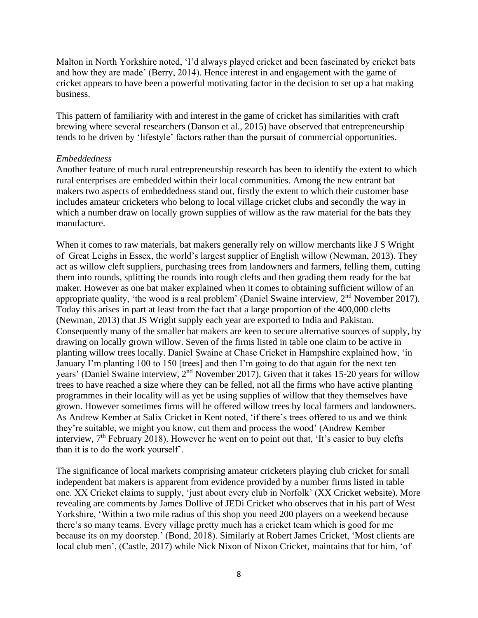Malton in North Yorkshire noted, 'I'd always played cricket and been fascinated by cricket bats and how they are made' (Berry, 2014). Hence interest in and engagement with the game of cricket appears to have been a powerful motivating factor in the decision to set up a bat making business.

This pattern of familiarity with and interest in the game of cricket has similarities with craft brewing where several researchers (Danson et al., 2015) have observed that entrepreneurship tends to be driven by 'lifestyle' factors rather than the pursuit of commercial opportunities.

### *Embeddedness*

Another feature of much rural entrepreneurship research has been to identify the extent to which rural enterprises are embedded within their local communities. Among the new entrant bat makers two aspects of embeddedness stand out, firstly the extent to which their customer base includes amateur cricketers who belong to local village cricket clubs and secondly the way in which a number draw on locally grown supplies of willow as the raw material for the bats they manufacture.

When it comes to raw materials, bat makers generally rely on willow merchants like J S Wright of Great Leighs in Essex, the world's largest supplier of English willow (Newman, 2013). They act as willow cleft suppliers, purchasing trees from landowners and farmers, felling them, cutting them into rounds, splitting the rounds into rough clefts and then grading them ready for the bat maker. However as one bat maker explained when it comes to obtaining sufficient willow of an appropriate quality, 'the wood is a real problem' (Daniel Swaine interview, 2nd November 2017). Today this arises in part at least from the fact that a large proportion of the 400,000 clefts (Newman, 2013) that JS Wright supply each year are exported to India and Pakistan. Consequently many of the smaller bat makers are keen to secure alternative sources of supply, by drawing on locally grown willow. Seven of the firms listed in table one claim to be active in planting willow trees locally. Daniel Swaine at Chase Cricket in Hampshire explained how, 'in January I'm planting 100 to 150 [trees] and then I'm going to do that again for the next ten years' (Daniel Swaine interview, 2nd November 2017). Given that it takes 15-20 years for willow trees to have reached a size where they can be felled, not all the firms who have active planting programmes in their locality will as yet be using supplies of willow that they themselves have grown. However sometimes firms will be offered willow trees by local farmers and landowners. As Andrew Kember at Salix Cricket in Kent noted, 'if there's trees offered to us and we think they're suitable, we might you know, cut them and process the wood' (Andrew Kember interview,  $7<sup>th</sup>$  February 2018). However he went on to point out that, 'It's easier to buy clefts than it is to do the work yourself'.

The significance of local markets comprising amateur cricketers playing club cricket for small independent bat makers is apparent from evidence provided by a number firms listed in table one. XX Cricket claims to supply, 'just about every club in Norfolk' (XX Cricket website). More revealing are comments by James Dollive of JEDi Cricket who observes that in his part of West Yorkshire, 'Within a two mile radius of this shop you need 200 players on a weekend because there's so many teams. Every village pretty much has a cricket team which is good for me because its on my doorstep.' (Bond, 2018). Similarly at Robert James Cricket, 'Most clients are local club men', (Castle, 2017) while Nick Nixon of Nixon Cricket, maintains that for him, 'of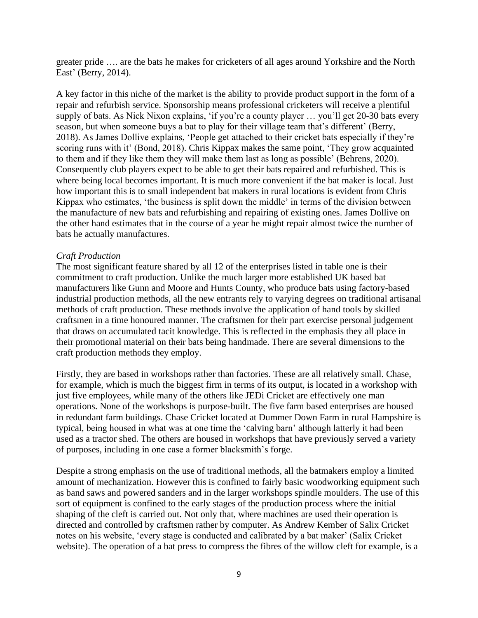greater pride …. are the bats he makes for cricketers of all ages around Yorkshire and the North East' (Berry, 2014).

A key factor in this niche of the market is the ability to provide product support in the form of a repair and refurbish service. Sponsorship means professional cricketers will receive a plentiful supply of bats. As Nick Nixon explains, 'if you're a county player … you'll get 20-30 bats every season, but when someone buys a bat to play for their village team that's different' (Berry, 2018). As James Dollive explains, 'People get attached to their cricket bats especially if they're scoring runs with it' (Bond, 2018). Chris Kippax makes the same point, 'They grow acquainted to them and if they like them they will make them last as long as possible' (Behrens, 2020). Consequently club players expect to be able to get their bats repaired and refurbished. This is where being local becomes important. It is much more convenient if the bat maker is local. Just how important this is to small independent bat makers in rural locations is evident from Chris Kippax who estimates, 'the business is split down the middle' in terms of the division between the manufacture of new bats and refurbishing and repairing of existing ones. James Dollive on the other hand estimates that in the course of a year he might repair almost twice the number of bats he actually manufactures.

### *Craft Production*

The most significant feature shared by all 12 of the enterprises listed in table one is their commitment to craft production. Unlike the much larger more established UK based bat manufacturers like Gunn and Moore and Hunts County, who produce bats using factory-based industrial production methods, all the new entrants rely to varying degrees on traditional artisanal methods of craft production. These methods involve the application of hand tools by skilled craftsmen in a time honoured manner. The craftsmen for their part exercise personal judgement that draws on accumulated tacit knowledge. This is reflected in the emphasis they all place in their promotional material on their bats being handmade. There are several dimensions to the craft production methods they employ.

Firstly, they are based in workshops rather than factories. These are all relatively small. Chase, for example, which is much the biggest firm in terms of its output, is located in a workshop with just five employees, while many of the others like JEDi Cricket are effectively one man operations. None of the workshops is purpose-built. The five farm based enterprises are housed in redundant farm buildings. Chase Cricket located at Dummer Down Farm in rural Hampshire is typical, being housed in what was at one time the 'calving barn' although latterly it had been used as a tractor shed. The others are housed in workshops that have previously served a variety of purposes, including in one case a former blacksmith's forge.

Despite a strong emphasis on the use of traditional methods, all the batmakers employ a limited amount of mechanization. However this is confined to fairly basic woodworking equipment such as band saws and powered sanders and in the larger workshops spindle moulders. The use of this sort of equipment is confined to the early stages of the production process where the initial shaping of the cleft is carried out. Not only that, where machines are used their operation is directed and controlled by craftsmen rather by computer. As Andrew Kember of Salix Cricket notes on his website, 'every stage is conducted and calibrated by a bat maker' (Salix Cricket website). The operation of a bat press to compress the fibres of the willow cleft for example, is a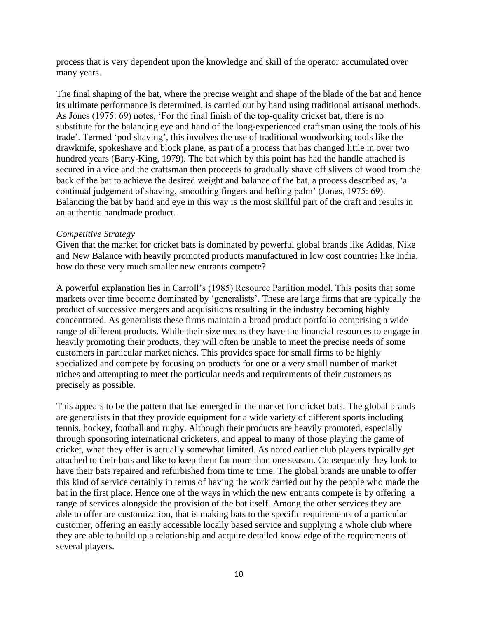process that is very dependent upon the knowledge and skill of the operator accumulated over many years.

The final shaping of the bat, where the precise weight and shape of the blade of the bat and hence its ultimate performance is determined, is carried out by hand using traditional artisanal methods. As Jones (1975: 69) notes, 'For the final finish of the top-quality cricket bat, there is no substitute for the balancing eye and hand of the long-experienced craftsman using the tools of his trade'. Termed 'pod shaving', this involves the use of traditional woodworking tools like the drawknife, spokeshave and block plane, as part of a process that has changed little in over two hundred years (Barty-King, 1979). The bat which by this point has had the handle attached is secured in a vice and the craftsman then proceeds to gradually shave off slivers of wood from the back of the bat to achieve the desired weight and balance of the bat, a process described as, 'a continual judgement of shaving, smoothing fingers and hefting palm' (Jones, 1975: 69). Balancing the bat by hand and eye in this way is the most skillful part of the craft and results in an authentic handmade product.

#### *Competitive Strategy*

Given that the market for cricket bats is dominated by powerful global brands like Adidas, Nike and New Balance with heavily promoted products manufactured in low cost countries like India, how do these very much smaller new entrants compete?

A powerful explanation lies in Carroll's (1985) Resource Partition model. This posits that some markets over time become dominated by 'generalists'. These are large firms that are typically the product of successive mergers and acquisitions resulting in the industry becoming highly concentrated. As generalists these firms maintain a broad product portfolio comprising a wide range of different products. While their size means they have the financial resources to engage in heavily promoting their products, they will often be unable to meet the precise needs of some customers in particular market niches. This provides space for small firms to be highly specialized and compete by focusing on products for one or a very small number of market niches and attempting to meet the particular needs and requirements of their customers as precisely as possible.

This appears to be the pattern that has emerged in the market for cricket bats. The global brands are generalists in that they provide equipment for a wide variety of different sports including tennis, hockey, football and rugby. Although their products are heavily promoted, especially through sponsoring international cricketers, and appeal to many of those playing the game of cricket, what they offer is actually somewhat limited. As noted earlier club players typically get attached to their bats and like to keep them for more than one season. Consequently they look to have their bats repaired and refurbished from time to time. The global brands are unable to offer this kind of service certainly in terms of having the work carried out by the people who made the bat in the first place. Hence one of the ways in which the new entrants compete is by offering a range of services alongside the provision of the bat itself. Among the other services they are able to offer are customization, that is making bats to the specific requirements of a particular customer, offering an easily accessible locally based service and supplying a whole club where they are able to build up a relationship and acquire detailed knowledge of the requirements of several players.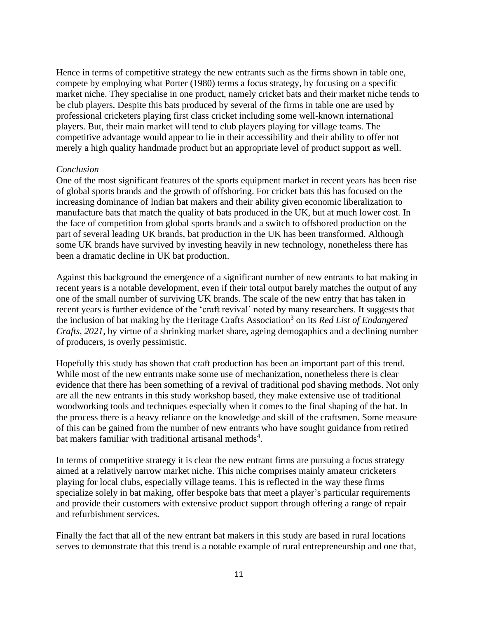Hence in terms of competitive strategy the new entrants such as the firms shown in table one, compete by employing what Porter (1980) terms a focus strategy, by focusing on a specific market niche. They specialise in one product, namely cricket bats and their market niche tends to be club players. Despite this bats produced by several of the firms in table one are used by professional cricketers playing first class cricket including some well-known international players. But, their main market will tend to club players playing for village teams. The competitive advantage would appear to lie in their accessibility and their ability to offer not merely a high quality handmade product but an appropriate level of product support as well.

### *Conclusion*

One of the most significant features of the sports equipment market in recent years has been rise of global sports brands and the growth of offshoring. For cricket bats this has focused on the increasing dominance of Indian bat makers and their ability given economic liberalization to manufacture bats that match the quality of bats produced in the UK, but at much lower cost. In the face of competition from global sports brands and a switch to offshored production on the part of several leading UK brands, bat production in the UK has been transformed. Although some UK brands have survived by investing heavily in new technology, nonetheless there has been a dramatic decline in UK bat production.

Against this background the emergence of a significant number of new entrants to bat making in recent years is a notable development, even if their total output barely matches the output of any one of the small number of surviving UK brands. The scale of the new entry that has taken in recent years is further evidence of the 'craft revival' noted by many researchers. It suggests that the inclusion of bat making by the Heritage Crafts Association<sup>3</sup> on its *Red List of Endangered Crafts, 2021*, by virtue of a shrinking market share, ageing demogaphics and a declining number of producers, is overly pessimistic.

Hopefully this study has shown that craft production has been an important part of this trend. While most of the new entrants make some use of mechanization, nonetheless there is clear evidence that there has been something of a revival of traditional pod shaving methods. Not only are all the new entrants in this study workshop based, they make extensive use of traditional woodworking tools and techniques especially when it comes to the final shaping of the bat. In the process there is a heavy reliance on the knowledge and skill of the craftsmen. Some measure of this can be gained from the number of new entrants who have sought guidance from retired bat makers familiar with traditional artisanal methods<sup>4</sup>.

In terms of competitive strategy it is clear the new entrant firms are pursuing a focus strategy aimed at a relatively narrow market niche. This niche comprises mainly amateur cricketers playing for local clubs, especially village teams. This is reflected in the way these firms specialize solely in bat making, offer bespoke bats that meet a player's particular requirements and provide their customers with extensive product support through offering a range of repair and refurbishment services.

Finally the fact that all of the new entrant bat makers in this study are based in rural locations serves to demonstrate that this trend is a notable example of rural entrepreneurship and one that,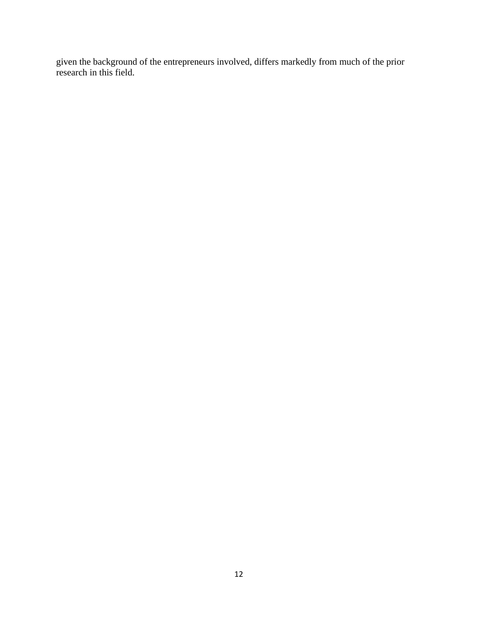given the background of the entrepreneurs involved, differs markedly from much of the prior research in this field.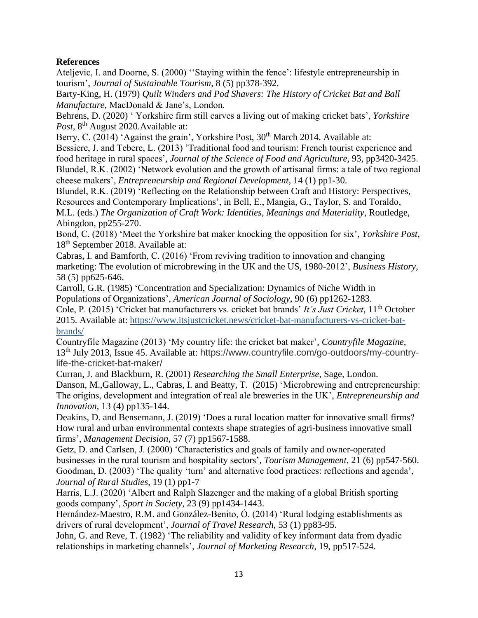# **References**

Ateljevic, I. and Doorne, S. (2000) ''Staying within the fence': lifestyle entrepreneurship in tourism', *Journal of Sustainable Tourism*, 8 (5) pp378-392.

Barty-King, H. (1979) *Quilt Winders and Pod Shavers: The History of Cricket Bat and Ball Manufacture,* MacDonald & Jane's, London.

Behrens, D. (2020) ' Yorkshire firm still carves a living out of making cricket bats', *Yorkshire*  Post, 8<sup>th</sup> August 2020. Available at:

Berry, C. (2014) 'Against the grain', Yorkshire Post, 30<sup>th</sup> March 2014. Available at:

Bessiere, J. and Tebere, L. (2013) 'Traditional food and tourism: French tourist experience and food heritage in rural spaces'*, Journal of the Science of Food and Agriculture*, 93, pp3420-3425. Blundel, R.K. (2002) 'Network evolution and the growth of artisanal firms: a tale of two regional cheese makers', *Entrepreneurship and Regional Development*, 14 (1) pp1-30.

Blundel, R.K. (2019) 'Reflecting on the Relationship between Craft and History: Perspectives, Resources and Contemporary Implications', in Bell, E., Mangia, G., Taylor, S. and Toraldo,

M.L. (eds.) *The Organization of Craft Work: Identities, Meanings and Materiality*, Routledge, Abingdon, pp255-270.

Bond, C. (2018) 'Meet the Yorkshire bat maker knocking the opposition for six', *Yorkshire Post*, 18<sup>th</sup> September 2018. Available at:

Cabras, I. and Bamforth, C. (2016) 'From reviving tradition to innovation and changing marketing: The evolution of microbrewing in the UK and the US, 1980-2012', *Business History,* 58 (5) pp625-646.

Carroll, G.R. (1985) 'Concentration and Specialization: Dynamics of Niche Width in Populations of Organizations', *American Journal of Sociology*, 90 (6) pp1262-1283.

Cole, P. (2015) 'Cricket bat manufacturers vs. cricket bat brands' *It's Just Cricket*, 11th October 2015. Available at: [https://www.itsjustcricket.news/cricket-bat-manufacturers-vs-cricket-bat](https://www.itsjustcricket.news/cricket-bat-manufacturers-vs-cricket-bat-brands/)[brands/](https://www.itsjustcricket.news/cricket-bat-manufacturers-vs-cricket-bat-brands/)

Countryfile Magazine (2013) 'My country life: the cricket bat maker', *Countryfile Magazine*, 13th July 2013, Issue 45. Available at: https://www.countryfile.com/go-outdoors/my-countrylife-the-cricket-bat-maker/

Curran, J. and Blackburn, R. (2001) *Researching the Small Enterprise*, Sage, London. Danson, M.,Galloway, L., Cabras, I. and Beatty, T. (2015) 'Microbrewing and entrepreneurship: The origins, development and integration of real ale breweries in the UK', *Entrepreneurship and Innovation*, 13 (4) pp135-144.

Deakins, D. and Bensemann, J. (2019) 'Does a rural location matter for innovative small firms? How rural and urban environmental contexts shape strategies of agri-business innovative small firms', *Management Decision*, 57 (7) pp1567-1588.

Getz, D. and Carlsen, J. (2000) 'Characteristics and goals of family and owner-operated businesses in the rural tourism and hospitality sectors'*, Tourism Management*, 21 (6) pp547-560. Goodman, D. (2003) 'The quality 'turn' and alternative food practices: reflections and agenda', *Journal of Rural Studies*, 19 (1) pp1-7

Harris, L.J. (2020) 'Albert and Ralph Slazenger and the making of a global British sporting goods company', *Sport in Society,* 23 (9) pp1434-1443.

Hernández-Maestro, R.M. and González-Benito, Ó. (2014) 'Rural lodging establishments as drivers of rural development', *Journal of Travel Research*, 53 (1) pp83-95.

John, G. and Reve, T. (1982) 'The reliability and validity of key informant data from dyadic relationships in marketing channels'*, Journal of Marketing Research*, 19, pp517-524.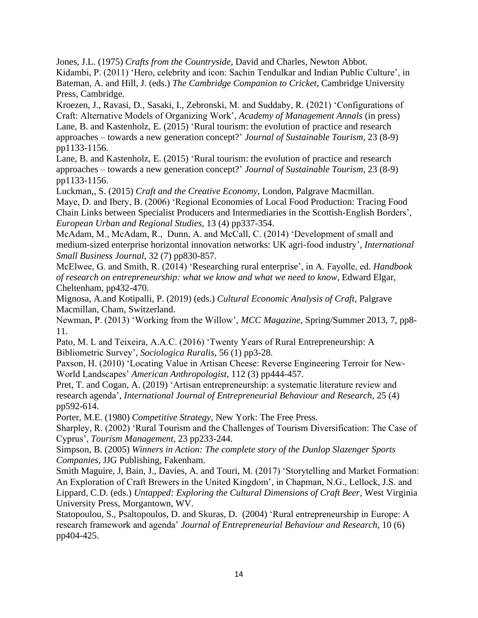Jones, J.L. (1975) *Crafts from the Countryside*, David and Charles, Newton Abbot.

Kidambi, P. (2011) 'Hero, celebrity and icon: Sachin Tendulkar and Indian Public Culture', in Bateman, A. and Hill, J. (eds.) *The Cambridge Companion to Cricket*, Cambridge University Press, Cambridge.

Kroezen, J., Ravasi, D., Sasaki, I., Zebronski, M. and Suddaby, R. (2021) 'Configurations of Craft: Alternative Models of Organizing Work', *Academy of Management Annals* (in press) Lane, B. and Kastenholz, E. (2015) 'Rural tourism: the evolution of practice and research approaches – towards a new generation concept?' *Journal of Sustainable Tourism*, 23 (8-9) pp1133-1156.

Lane, B. and Kastenholz, E. (2015) 'Rural tourism: the evolution of practice and research approaches – towards a new generation concept?' *Journal of Sustainable Tourism*, 23 (8-9) pp1133-1156.

Luckman,, S. (2015) *Craft and the Creative Economy*, London, Palgrave Macmillan. Maye, D. and Ibery, B. (2006) 'Regional Economies of Local Food Production: Tracing Food Chain Links between Specialist Producers and Intermediaries in the Scottish-English Borders', *European Urban and Regional Studies*, 13 (4) pp337-354.

McAdam, M., McAdam, R., Dunn, A. and McCall, C. (2014) 'Development of small and medium-sized enterprise horizontal innovation networks: UK agri-food industry'*, International Small Business Journal,* 32 (7) pp830-857.

McElwee, G. and Smith, R. (2014) 'Researching rural enterprise', in A. Fayolle, ed. *Handbook of research on entrepreneurship: what we know and what we need to know*, Edward Elgar, Cheltenham, pp432-470.

Mignosa, A.and Kotipalli, P. (2019) (eds.) *Cultural Economic Analysis of Craft*, Palgrave Macmillan, Cham, Switzerland.

Newman, P. (2013) 'Working from the Willow', *MCC Magazine*, Spring/Summer 2013, 7, pp8- 11.

Pato, M. L and Teixeira, A.A.C. (2016) 'Twenty Years of Rural Entrepreneurship: A Bibliometric Survey', *Sociologica Ruralis*, 56 (1) pp3-28.

Paxson, H. (2010) 'Locating Value in Artisan Cheese: Reverse Engineering Terroir for New-World Landscapes' *American Anthropologist*, 112 (3) pp444-457.

Pret, T. and Cogan, A. (2019) 'Artisan entrepreneurship: a systematic literature review and research agenda'*, International Journal of Entrepreneurial Behaviour and Research*, 25 (4) pp592-614.

Porter, M.E. (1980) *Competitive Strategy,* New York: The Free Press.

Sharpley, R. (2002) 'Rural Tourism and the Challenges of Tourism Diversification: The Case of Cyprus', *Tourism Management,* 23 pp233-244.

Simpson, B. (2005) *Winners in Action: The complete story of the Dunlop Slazenger Sports Companies,* JJG Publishing, Fakenham.

Smith Maguire, J, Bain, J., Davies, A. and Touri, M. (2017) 'Storytelling and Market Formation: An Exploration of Craft Brewers in the United Kingdom', in Chapman, N.G., Lellock, J.S. and Lippard, C.D. (eds.) *Untapped: Exploring the Cultural Dimensions of Craft Beer,* West Virginia University Press, Morgantown, WV.

Statopoulou, S., Psaltopoulos, D. and Skuras, D. (2004) 'Rural entrepreneurship in Europe: A research framework and agenda' *Journal of Entrepreneurial Behaviour and Research*, 10 (6) pp404-425.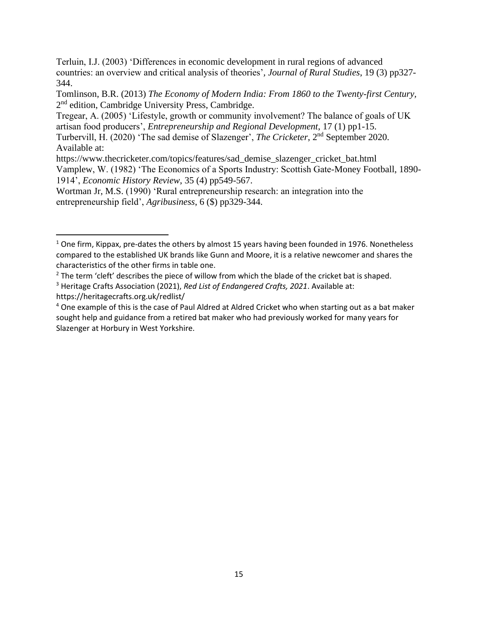Terluin, I.J. (2003) 'Differences in economic development in rural regions of advanced countries: an overview and critical analysis of theories'*, Journal of Rural Studies*, 19 (3) pp327- 344.

Tomlinson, B.R. (2013) *The Economy of Modern India: From 1860 to the Twenty-first Century,* 2<sup>nd</sup> edition, Cambridge University Press, Cambridge.

Tregear, A. (2005) 'Lifestyle, growth or community involvement? The balance of goals of UK artisan food producers', *Entrepreneurship and Regional Development*, 17 (1) pp1-15.

Turbervill, H. (2020) 'The sad demise of Slazenger', *The Cricketer*, 2nd September 2020. Available at:

https://www.thecricketer.com/topics/features/sad\_demise\_slazenger\_cricket\_bat.html Vamplew, W. (1982) 'The Economics of a Sports Industry: Scottish Gate-Money Football, 1890- 1914', *Economic History Review*, 35 (4) pp549-567.

Wortman Jr, M.S. (1990) 'Rural entrepreneurship research: an integration into the entrepreneurship field', *Agribusiness*, 6 (\$) pp329-344.

 $1$  One firm, Kippax, pre-dates the others by almost 15 years having been founded in 1976. Nonetheless compared to the established UK brands like Gunn and Moore, it is a relative newcomer and shares the characteristics of the other firms in table one.

 $<sup>2</sup>$  The term 'cleft' describes the piece of willow from which the blade of the cricket bat is shaped.</sup>

<sup>3</sup> Heritage Crafts Association (2021), *Red List of Endangered Crafts, 2021*. Available at: https://heritagecrafts.org.uk/redlist/

<sup>4</sup> One example of this is the case of Paul Aldred at Aldred Cricket who when starting out as a bat maker sought help and guidance from a retired bat maker who had previously worked for many years for Slazenger at Horbury in West Yorkshire.